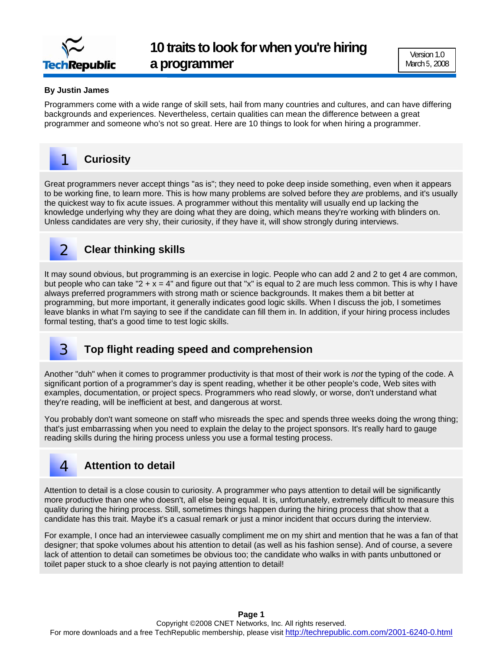

### **By Justin James**

Programmers come with a wide range of skill sets, hail from many countries and cultures, and can have differing backgrounds and experiences. Nevertheless, certain qualities can mean the difference between a great programmer and someone who's not so great. Here are 10 things to look for when hiring a programmer.

#### **Curiosity**  1

Great programmers never accept things "as is"; they need to poke deep inside something, even when it appears to be working fine, to learn more. This is how many problems are solved before they *are* problems, and it's usually the quickest way to fix acute issues. A programmer without this mentality will usually end up lacking the knowledge underlying why they are doing what they are doing, which means they're working with blinders on. Unless candidates are very shy, their curiosity, if they have it, will show strongly during interviews.

## **Clear thinking skills**

It may sound obvious, but programming is an exercise in logic. People who can add 2 and 2 to get 4 are common, but people who can take "2 + x = 4" and figure out that "x" is equal to 2 are much less common. This is why I have always preferred programmers with strong math or science backgrounds. It makes them a bit better at programming, but more important, it generally indicates good logic skills. When I discuss the job, I sometimes leave blanks in what I'm saying to see if the candidate can fill them in. In addition, if your hiring process includes formal testing, that's a good time to test logic skills.

### **Top flight reading speed and comprehension**

Another "duh" when it comes to programmer productivity is that most of their work is *not* the typing of the code. A significant portion of a programmer's day is spent reading, whether it be other people's code, Web sites with examples, documentation, or project specs. Programmers who read slowly, or worse, don't understand what they're reading, will be inefficient at best, and dangerous at worst.

You probably don't want someone on staff who misreads the spec and spends three weeks doing the wrong thing; that's just embarrassing when you need to explain the delay to the project sponsors. It's really hard to gauge reading skills during the hiring process unless you use a formal testing process.

## **Attention to detail**

4

3

2

Attention to detail is a close cousin to curiosity. A programmer who pays attention to detail will be significantly more productive than one who doesn't, all else being equal. It is, unfortunately, extremely difficult to measure this quality during the hiring process. Still, sometimes things happen during the hiring process that show that a candidate has this trait. Maybe it's a casual remark or just a minor incident that occurs during the interview.

For example, I once had an interviewee casually compliment me on my shirt and mention that he was a fan of that designer; that spoke volumes about his attention to detail (as well as his fashion sense). And of course, a severe lack of attention to detail can sometimes be obvious too; the candidate who walks in with pants unbuttoned or toilet paper stuck to a shoe clearly is not paying attention to detail!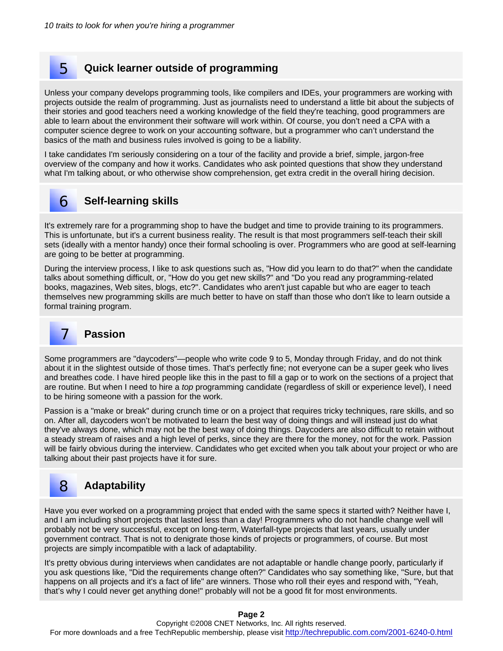### **Quick learner outside of programming**

Unless your company develops programming tools, like compilers and IDEs, your programmers are working with projects outside the realm of programming. Just as journalists need to understand a little bit about the subjects of their stories and good teachers need a working knowledge of the field they're teaching, good programmers are able to learn about the environment their software will work within. Of course, you don't need a CPA with a computer science degree to work on your accounting software, but a programmer who can't understand the basics of the math and business rules involved is going to be a liability.

I take candidates I'm seriously considering on a tour of the facility and provide a brief, simple, jargon-free overview of the company and how it works. Candidates who ask pointed questions that show they understand what I'm talking about, or who otherwise show comprehension, get extra credit in the overall hiring decision.

## **Self-learning skills**

It's extremely rare for a programming shop to have the budget and time to provide training to its programmers. This is unfortunate, but it's a current business reality. The result is that most programmers self-teach their skill sets (ideally with a mentor handy) once their formal schooling is over. Programmers who are good at self-learning are going to be better at programming.

During the interview process, I like to ask questions such as, "How did you learn to do that?" when the candidate talks about something difficult, or, "How do you get new skills?" and "Do you read any programming-related books, magazines, Web sites, blogs, etc?". Candidates who aren't just capable but who are eager to teach themselves new programming skills are much better to have on staff than those who don't like to learn outside a formal training program.

#### **Passion**  7

6

5

Some programmers are "daycoders"—people who write code 9 to 5, Monday through Friday, and do not think about it in the slightest outside of those times. That's perfectly fine; not everyone can be a super geek who lives and breathes code. I have hired people like this in the past to fill a gap or to work on the sections of a project that are routine. But when I need to hire a *top* programming candidate (regardless of skill or experience level), I need to be hiring someone with a passion for the work.

Passion is a "make or break" during crunch time or on a project that requires tricky techniques, rare skills, and so on. After all, daycoders won't be motivated to learn the best way of doing things and will instead just do what they've always done, which may not be the best way of doing things. Daycoders are also difficult to retain without a steady stream of raises and a high level of perks, since they are there for the money, not for the work. Passion will be fairly obvious during the interview. Candidates who get excited when you talk about your project or who are talking about their past projects have it for sure.

#### **Adaptability**  8

Have you ever worked on a programming project that ended with the same specs it started with? Neither have I, and I am including short projects that lasted less than a day! Programmers who do not handle change well will probably not be very successful, except on long-term, Waterfall-type projects that last years, usually under government contract. That is not to denigrate those kinds of projects or programmers, of course. But most projects are simply incompatible with a lack of adaptability.

It's pretty obvious during interviews when candidates are not adaptable or handle change poorly, particularly if you ask questions like, "Did the requirements change often?" Candidates who say something like, "Sure, but that happens on all projects and it's a fact of life" are winners. Those who roll their eyes and respond with, "Yeah, that's why I could never get anything done!" probably will not be a good fit for most environments.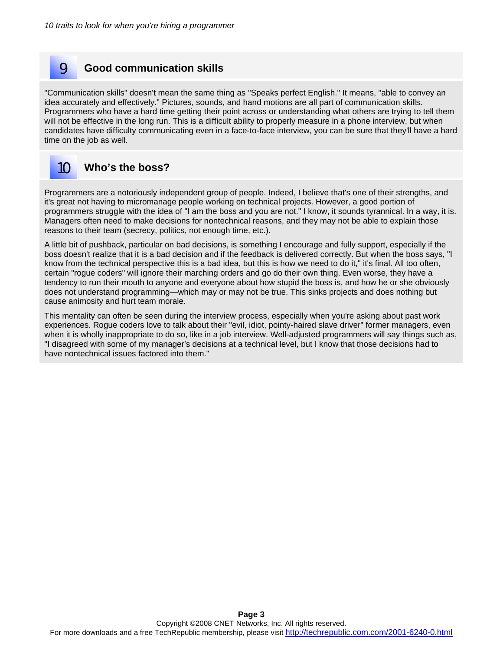## **Good communication skills**

"Communication skills" doesn't mean the same thing as "Speaks perfect English." It means, "able to convey an idea accurately and effectively." Pictures, sounds, and hand motions are all part of communication skills. Programmers who have a hard time getting their point across or understanding what others are trying to tell them will not be effective in the long run. This is a difficult ability to properly measure in a phone interview, but when candidates have difficulty communicating even in a face-to-face interview, you can be sure that they'll have a hard time on the job as well.

#### **Who's the boss?**  10

9

Programmers are a notoriously independent group of people. Indeed, I believe that's one of their strengths, and it's great not having to micromanage people working on technical projects. However, a good portion of programmers struggle with the idea of "I am the boss and you are not." I know, it sounds tyrannical. In a way, it is. Managers often need to make decisions for nontechnical reasons, and they may not be able to explain those reasons to their team (secrecy, politics, not enough time, etc.).

A little bit of pushback, particular on bad decisions, is something I encourage and fully support, especially if the boss doesn't realize that it is a bad decision and if the feedback is delivered correctly. But when the boss says, "I know from the technical perspective this is a bad idea, but this is how we need to do it," it's final. All too often, certain "rogue coders" will ignore their marching orders and go do their own thing. Even worse, they have a tendency to run their mouth to anyone and everyone about how stupid the boss is, and how he or she obviously does not understand programming—which may or may not be true. This sinks projects and does nothing but cause animosity and hurt team morale.

This mentality can often be seen during the interview process, especially when you're asking about past work experiences. Rogue coders love to talk about their "evil, idiot, pointy-haired slave driver" former managers, even when it is wholly inappropriate to do so, like in a job interview. Well-adjusted programmers will say things such as, "I disagreed with some of my manager's decisions at a technical level, but I know that those decisions had to have nontechnical issues factored into them."